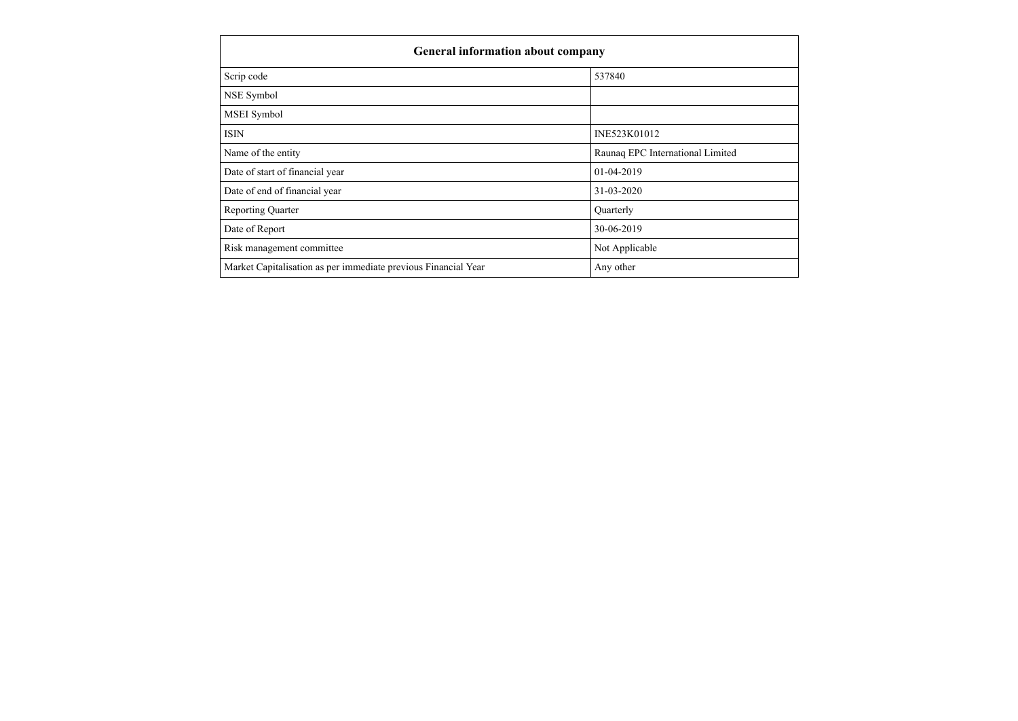| <b>General information about company</b>                       |                                  |
|----------------------------------------------------------------|----------------------------------|
| Scrip code                                                     | 537840                           |
| NSE Symbol                                                     |                                  |
| <b>MSEI</b> Symbol                                             |                                  |
| <b>ISIN</b>                                                    | INE523K01012                     |
| Name of the entity                                             | Raunaq EPC International Limited |
| Date of start of financial year                                | 01-04-2019                       |
| Date of end of financial year                                  | 31-03-2020                       |
| <b>Reporting Quarter</b>                                       | Quarterly                        |
| Date of Report                                                 | 30-06-2019                       |
| Risk management committee                                      | Not Applicable                   |
| Market Capitalisation as per immediate previous Financial Year | Any other                        |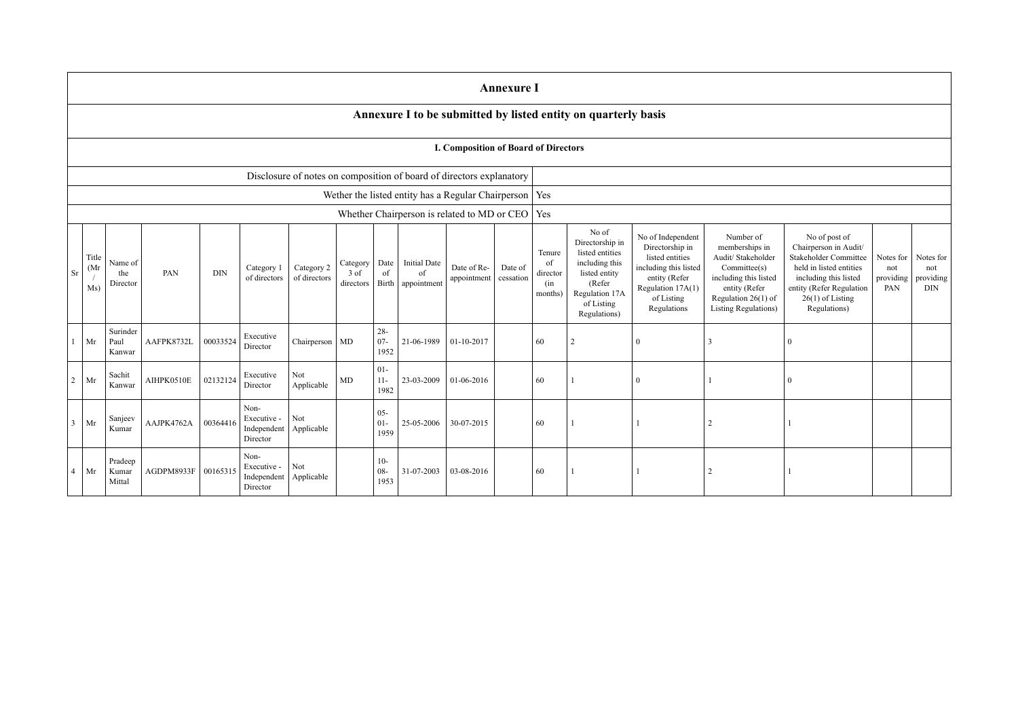|                |                                                   |                            |            |            |                                                |                            |                               |                          |                                                                      |                                             | <b>Annexure I</b>    |                                            |                                                                                                                                          |                                                                                                                                                     |                                                                                                                                                           |                                                                                                                                                                                       |                                      |                                             |
|----------------|---------------------------------------------------|----------------------------|------------|------------|------------------------------------------------|----------------------------|-------------------------------|--------------------------|----------------------------------------------------------------------|---------------------------------------------|----------------------|--------------------------------------------|------------------------------------------------------------------------------------------------------------------------------------------|-----------------------------------------------------------------------------------------------------------------------------------------------------|-----------------------------------------------------------------------------------------------------------------------------------------------------------|---------------------------------------------------------------------------------------------------------------------------------------------------------------------------------------|--------------------------------------|---------------------------------------------|
|                |                                                   |                            |            |            |                                                |                            |                               |                          |                                                                      |                                             |                      |                                            | Annexure I to be submitted by listed entity on quarterly basis                                                                           |                                                                                                                                                     |                                                                                                                                                           |                                                                                                                                                                                       |                                      |                                             |
|                |                                                   |                            |            |            |                                                |                            |                               |                          |                                                                      | <b>I. Composition of Board of Directors</b> |                      |                                            |                                                                                                                                          |                                                                                                                                                     |                                                                                                                                                           |                                                                                                                                                                                       |                                      |                                             |
|                |                                                   |                            |            |            |                                                |                            |                               |                          | Disclosure of notes on composition of board of directors explanatory |                                             |                      |                                            |                                                                                                                                          |                                                                                                                                                     |                                                                                                                                                           |                                                                                                                                                                                       |                                      |                                             |
|                |                                                   |                            |            |            |                                                |                            |                               |                          | Wether the listed entity has a Regular Chairperson   Yes             |                                             |                      |                                            |                                                                                                                                          |                                                                                                                                                     |                                                                                                                                                           |                                                                                                                                                                                       |                                      |                                             |
|                | Whether Chairperson is related to MD or CEO   Yes |                            |            |            |                                                |                            |                               |                          |                                                                      |                                             |                      |                                            |                                                                                                                                          |                                                                                                                                                     |                                                                                                                                                           |                                                                                                                                                                                       |                                      |                                             |
| Sr             | Title<br>(Mr)<br>Ms)                              | Name of<br>the<br>Director | PAN        | <b>DIN</b> | Category 1<br>of directors                     | Category 2<br>of directors | Category<br>3 of<br>directors | Date<br>of               | <b>Initial Date</b><br>of<br>Birth appointment                       | Date of Re-<br>appointment                  | Date of<br>cessation | Tenure<br>of<br>director<br>(in<br>months) | No of<br>Directorship in<br>listed entities<br>including this<br>listed entity<br>(Refer<br>Regulation 17A<br>of Listing<br>Regulations) | No of Independent<br>Directorship in<br>listed entities<br>including this listed<br>entity (Refer<br>Regulation 17A(1)<br>of Listing<br>Regulations | Number of<br>memberships in<br>Audit/ Stakeholder<br>Commitee(s)<br>including this listed<br>entity (Refer<br>Regulation 26(1) of<br>Listing Regulations) | No of post of<br>Chairperson in Audit/<br>Stakeholder Committee<br>held in listed entities<br>including this listed<br>entity (Refer Regulation<br>$26(1)$ of Listing<br>Regulations) | Notes for<br>not<br>providing<br>PAN | Notes for<br>not<br>providing<br><b>DIN</b> |
|                | Mr                                                | Surinder<br>Paul<br>Kanwar | AAFPK8732L | 00033524   | Executive<br>Director                          | Chairperson MD             |                               | $28 -$<br>$07 -$<br>1952 | 21-06-1989                                                           | 01-10-2017                                  |                      | 60                                         |                                                                                                                                          |                                                                                                                                                     |                                                                                                                                                           |                                                                                                                                                                                       |                                      |                                             |
| $\overline{2}$ | $\rm{Mr}$                                         | Sachit<br>Kanwar           | AIHPK0510E | 02132124   | Executive<br>Director                          | Not<br>Applicable          | $\rm MD$                      | $01 -$<br>$11-$<br>1982  | 23-03-2009                                                           | 01-06-2016                                  |                      | 60                                         |                                                                                                                                          |                                                                                                                                                     |                                                                                                                                                           | $\Omega$                                                                                                                                                                              |                                      |                                             |
| $\mathbf{3}$   | $\rm{Mr}$                                         | Sanjeev<br>Kumar           | AAJPK4762A | 00364416   | Non-<br>Executive -<br>Independent<br>Director | Not<br>Applicable          |                               | $05 -$<br>$01 -$<br>1959 | 25-05-2006                                                           | 30-07-2015                                  |                      | 60                                         |                                                                                                                                          |                                                                                                                                                     | $\overline{2}$                                                                                                                                            |                                                                                                                                                                                       |                                      |                                             |
|                | Mr                                                | Pradeep<br>Kumar<br>Mittal | AGDPM8933F | 00165315   | Non-<br>Executive -<br>Independent<br>Director | Not<br>Applicable          |                               | $10-$<br>$08 -$<br>1953  | 31-07-2003                                                           | 03-08-2016                                  |                      | 60                                         |                                                                                                                                          |                                                                                                                                                     | 2                                                                                                                                                         |                                                                                                                                                                                       |                                      |                                             |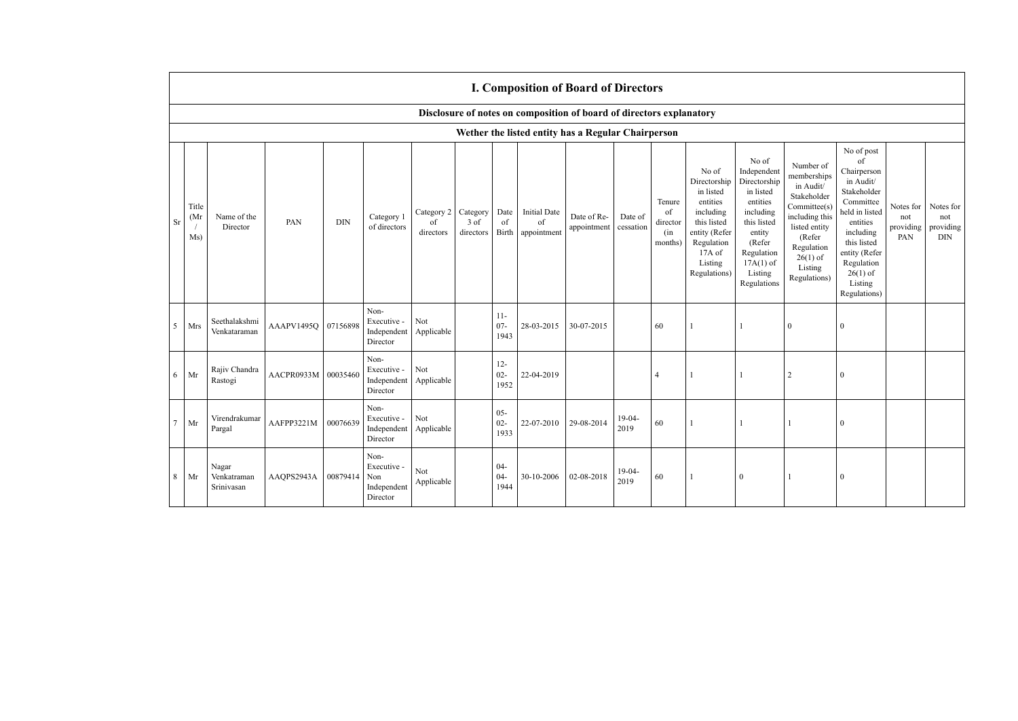|                |                      |                                    |                     |            |                                                       |                               |                                 |                          |                                          | <b>I. Composition of Board of Directors</b>                          |                      |                                            |                                                                                                                                                |                                                                                                                                                                      |                                                                                                                                                                          |                                                                                                                                                                                                            |                                      |                                             |
|----------------|----------------------|------------------------------------|---------------------|------------|-------------------------------------------------------|-------------------------------|---------------------------------|--------------------------|------------------------------------------|----------------------------------------------------------------------|----------------------|--------------------------------------------|------------------------------------------------------------------------------------------------------------------------------------------------|----------------------------------------------------------------------------------------------------------------------------------------------------------------------|--------------------------------------------------------------------------------------------------------------------------------------------------------------------------|------------------------------------------------------------------------------------------------------------------------------------------------------------------------------------------------------------|--------------------------------------|---------------------------------------------|
|                |                      |                                    |                     |            |                                                       |                               |                                 |                          |                                          | Disclosure of notes on composition of board of directors explanatory |                      |                                            |                                                                                                                                                |                                                                                                                                                                      |                                                                                                                                                                          |                                                                                                                                                                                                            |                                      |                                             |
|                |                      |                                    |                     |            |                                                       |                               |                                 |                          |                                          | Wether the listed entity has a Regular Chairperson                   |                      |                                            |                                                                                                                                                |                                                                                                                                                                      |                                                                                                                                                                          |                                                                                                                                                                                                            |                                      |                                             |
| Sr             | Title<br>(Mr)<br>Ms) | Name of the<br>Director            | PAN                 | <b>DIN</b> | Category 1<br>of directors                            | Category 2<br>of<br>directors | Category<br>$3$ of<br>directors | Date<br>of<br>Birth      | <b>Initial Date</b><br>of<br>appointment | Date of Re-<br>appointment                                           | Date of<br>cessation | Tenure<br>of<br>director<br>(in<br>months) | No of<br>Directorship<br>in listed<br>entities<br>including<br>this listed<br>entity (Refer<br>Regulation<br>17A of<br>Listing<br>Regulations) | No of<br>Independent<br>Directorship<br>in listed<br>entities<br>including<br>this listed<br>entity<br>(Refer<br>Regulation<br>$17A(1)$ of<br>Listing<br>Regulations | Number of<br>memberships<br>in Audit/<br>Stakeholder<br>Committee(s)<br>including this<br>listed entity<br>(Refer<br>Regulation<br>$26(1)$ of<br>Listing<br>Regulations) | No of post<br>of<br>Chairperson<br>in Audit/<br>Stakeholder<br>Committee<br>held in listed<br>entities<br>including<br>this listed<br>entity (Refer<br>Regulation<br>$26(1)$ of<br>Listing<br>Regulations) | Notes for<br>not<br>providing<br>PAN | Notes for<br>not<br>providing<br><b>DIN</b> |
| 5 <sup>7</sup> | Mrs                  | Seethalakshmi<br>Venkataraman      | AAAPV1495Q 07156898 |            | Non-<br>Executive -<br>Independent<br>Director        | Not<br>Applicable             |                                 | $11-$<br>$07 -$<br>1943  | 28-03-2015                               | 30-07-2015                                                           |                      | 60                                         |                                                                                                                                                |                                                                                                                                                                      | $\mathbf{0}$                                                                                                                                                             | $\theta$                                                                                                                                                                                                   |                                      |                                             |
| 6              | Mr                   | Rajiv Chandra<br>Rastogi           | AACPR0933M 00035460 |            | Non-<br>Executive -<br>Independent<br>Director        | Not<br>Applicable             |                                 | $12 -$<br>$02 -$<br>1952 | 22-04-2019                               |                                                                      |                      | $\overline{4}$                             |                                                                                                                                                |                                                                                                                                                                      | 2                                                                                                                                                                        | $\mathbf{0}$                                                                                                                                                                                               |                                      |                                             |
| $\tau$         | Mr                   | Virendrakumar<br>Pargal            | AAFPP3221M          | 00076639   | Non-<br>Executive -<br>Independent<br>Director        | Not<br>Applicable             |                                 | $05 -$<br>$02 -$<br>1933 | 22-07-2010                               | 29-08-2014                                                           | $19-04-$<br>2019     | 60                                         |                                                                                                                                                |                                                                                                                                                                      | 1                                                                                                                                                                        | $\theta$                                                                                                                                                                                                   |                                      |                                             |
| 8              | Mr                   | Nagar<br>Venkatraman<br>Srinivasan | AAQPS2943A          | 00879414   | Non-<br>Executive -<br>Non<br>Independent<br>Director | Not<br>Applicable             |                                 | $04 -$<br>$04-$<br>1944  | 30-10-2006                               | 02-08-2018                                                           | $19-04-$<br>2019     | 60                                         | $\mathbf{1}$                                                                                                                                   | $\mathbf{0}$                                                                                                                                                         | 1                                                                                                                                                                        | $\theta$                                                                                                                                                                                                   |                                      |                                             |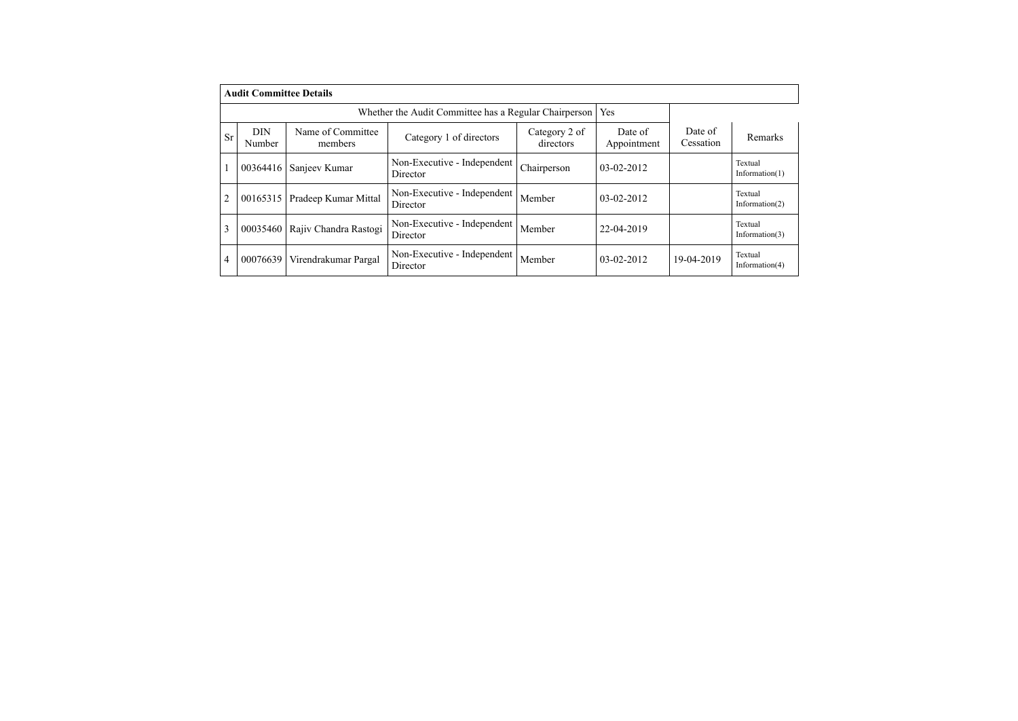|    | <b>Audit Committee Details</b> |                              |                                                       |                            |                        |                      |                              |  |  |  |  |
|----|--------------------------------|------------------------------|-------------------------------------------------------|----------------------------|------------------------|----------------------|------------------------------|--|--|--|--|
|    |                                |                              | Whether the Audit Committee has a Regular Chairperson | <b>Yes</b>                 |                        |                      |                              |  |  |  |  |
| Sr | <b>DIN</b><br>Number           | Name of Committee<br>members | Category 1 of directors                               | Category 2 of<br>directors | Date of<br>Appointment | Date of<br>Cessation | Remarks                      |  |  |  |  |
|    | 00364416                       | Sanjeev Kumar                | Non-Executive - Independent<br>Director               | Chairperson                | $03-02-2012$           |                      | Textual<br>Information $(1)$ |  |  |  |  |
| 2  | 00165315                       | Pradeep Kumar Mittal         | Non-Executive - Independent<br>Director               | Member                     | $03-02-2012$           |                      | Textual<br>Information(2)    |  |  |  |  |
| 3  | 00035460                       | Rajiv Chandra Rastogi        | Non-Executive - Independent<br>Director               | Member                     | 22-04-2019             |                      | Textual<br>Information $(3)$ |  |  |  |  |
| 4  | 00076639                       | Virendrakumar Pargal         | Non-Executive - Independent<br>Director               | Member                     | $03-02-2012$           | 19-04-2019           | Textual<br>Information $(4)$ |  |  |  |  |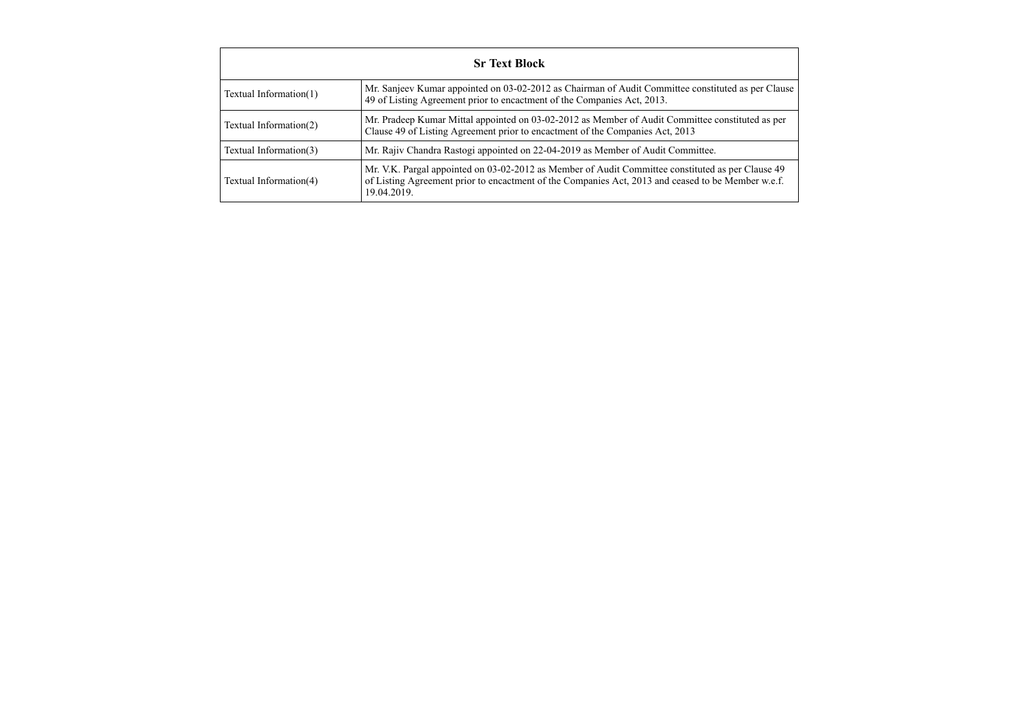| <b>Sr Text Block</b>   |                                                                                                                                                                                                                        |  |  |  |  |  |
|------------------------|------------------------------------------------------------------------------------------------------------------------------------------------------------------------------------------------------------------------|--|--|--|--|--|
| Textual Information(1) | Mr. Sanjeev Kumar appointed on 03-02-2012 as Chairman of Audit Committee constituted as per Clause<br>49 of Listing Agreement prior to encactment of the Companies Act, 2013.                                          |  |  |  |  |  |
| Textual Information(2) | Mr. Pradeep Kumar Mittal appointed on 03-02-2012 as Member of Audit Committee constituted as per<br>Clause 49 of Listing Agreement prior to encactment of the Companies Act, 2013                                      |  |  |  |  |  |
| Textual Information(3) | Mr. Rajiv Chandra Rastogi appointed on 22-04-2019 as Member of Audit Committee.                                                                                                                                        |  |  |  |  |  |
| Textual Information(4) | Mr. V.K. Pargal appointed on 03-02-2012 as Member of Audit Committee constituted as per Clause 49<br>of Listing Agreement prior to encactment of the Companies Act, 2013 and ceased to be Member w.e.f.<br>19.04.2019. |  |  |  |  |  |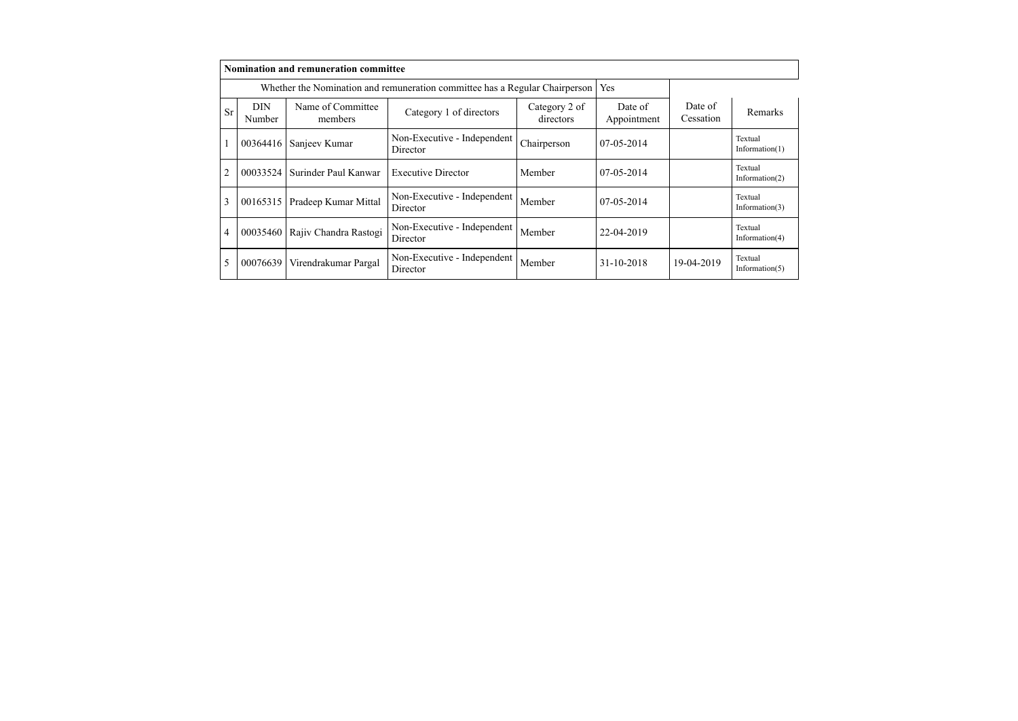|    |                      | Nomination and remuneration committee |                                                                             |                            |                        |                      |                              |
|----|----------------------|---------------------------------------|-----------------------------------------------------------------------------|----------------------------|------------------------|----------------------|------------------------------|
|    |                      |                                       | Whether the Nomination and remuneration committee has a Regular Chairperson |                            | Yes                    |                      |                              |
| Sr | <b>DIN</b><br>Number | Name of Committee<br>members          | Category 1 of directors                                                     | Category 2 of<br>directors | Date of<br>Appointment | Date of<br>Cessation | Remarks                      |
|    | 00364416             | Sanjeev Kumar                         | Non-Executive - Independent<br>Director                                     | Chairperson                | $07-05-2014$           |                      | Textual<br>Information $(1)$ |
| 2  | 00033524             | Surinder Paul Kanwar                  | <b>Executive Director</b>                                                   | Member                     | $07-05-2014$           |                      | Textual<br>Information $(2)$ |
| 3  | 00165315             | Pradeep Kumar Mittal                  | Non-Executive - Independent<br>Director                                     | Member                     | $07-05-2014$           |                      | Textual<br>Information $(3)$ |
| 4  | 00035460             | Rajiv Chandra Rastogi                 | Non-Executive - Independent<br>Director                                     | Member                     | 22-04-2019             |                      | Textual<br>Information $(4)$ |
| 5  | 00076639             | Virendrakumar Pargal                  | Non-Executive - Independent<br>Director                                     | Member                     | 31-10-2018             | 19-04-2019           | Textual<br>Information $(5)$ |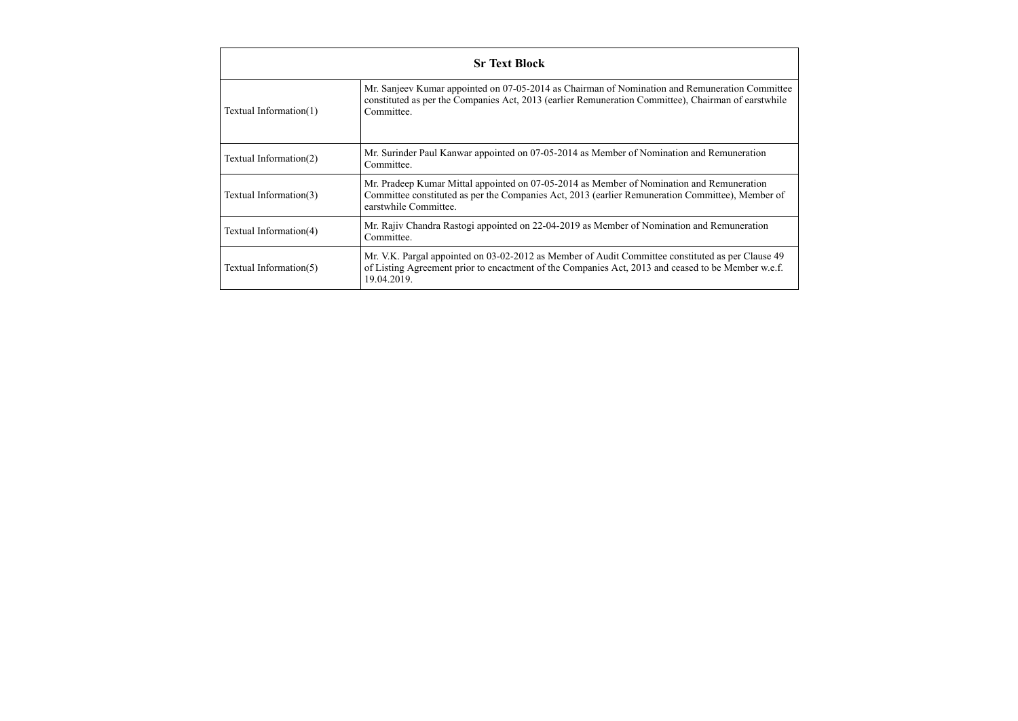|                        | <b>Sr Text Block</b>                                                                                                                                                                                                   |  |  |  |  |  |  |
|------------------------|------------------------------------------------------------------------------------------------------------------------------------------------------------------------------------------------------------------------|--|--|--|--|--|--|
| Textual Information(1) | Mr. Sanjeev Kumar appointed on 07-05-2014 as Chairman of Nomination and Remuneration Committee<br>constituted as per the Companies Act, 2013 (earlier Remuneration Committee), Chairman of earstwhile<br>Committee.    |  |  |  |  |  |  |
| Textual Information(2) | Mr. Surinder Paul Kanwar appointed on 07-05-2014 as Member of Nomination and Remuneration<br>Committee.                                                                                                                |  |  |  |  |  |  |
| Textual Information(3) | Mr. Pradeep Kumar Mittal appointed on 07-05-2014 as Member of Nomination and Remuneration<br>Committee constituted as per the Companies Act, 2013 (earlier Remuneration Committee), Member of<br>earstwhile Committee. |  |  |  |  |  |  |
| Textual Information(4) | Mr. Rajiv Chandra Rastogi appointed on 22-04-2019 as Member of Nomination and Remuneration<br>Committee.                                                                                                               |  |  |  |  |  |  |
| Textual Information(5) | Mr. V.K. Pargal appointed on 03-02-2012 as Member of Audit Committee constituted as per Clause 49<br>of Listing Agreement prior to encactment of the Companies Act, 2013 and ceased to be Member w.e.f.<br>19.04.2019. |  |  |  |  |  |  |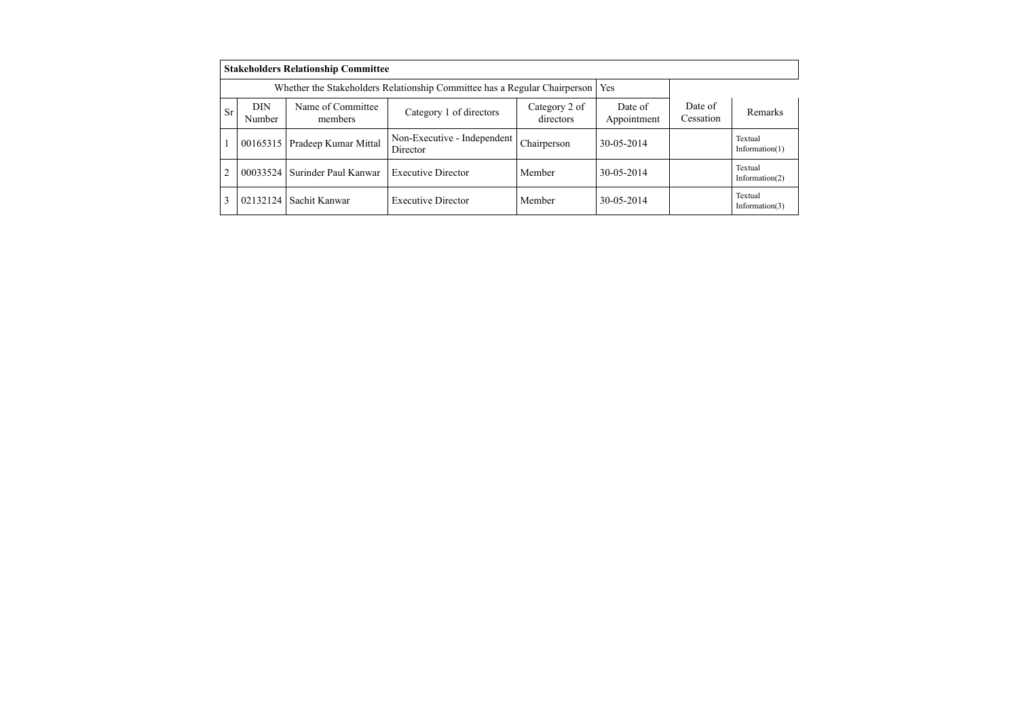|    |                      | <b>Stakeholders Relationship Committee</b>                                |                                         |                            |                        |                      |                              |
|----|----------------------|---------------------------------------------------------------------------|-----------------------------------------|----------------------------|------------------------|----------------------|------------------------------|
|    |                      | Whether the Stakeholders Relationship Committee has a Regular Chairperson | Yes                                     |                            |                        |                      |                              |
| Sr | <b>DIN</b><br>Number | Name of Committee<br>members                                              | Category 1 of directors                 | Category 2 of<br>directors | Date of<br>Appointment | Date of<br>Cessation | Remarks                      |
|    | 00165315             | Pradeep Kumar Mittal                                                      | Non-Executive - Independent<br>Director | Chairperson                | 30-05-2014             |                      | Textual<br>Information $(1)$ |
| 2  | 00033524             | Surinder Paul Kanwar                                                      | <b>Executive Director</b>               | Member                     | 30-05-2014             |                      | Textual<br>Information $(2)$ |
| 3  | 02132124             | Sachit Kanwar                                                             | <b>Executive Director</b>               | Member                     | 30-05-2014             |                      | Textual<br>Information $(3)$ |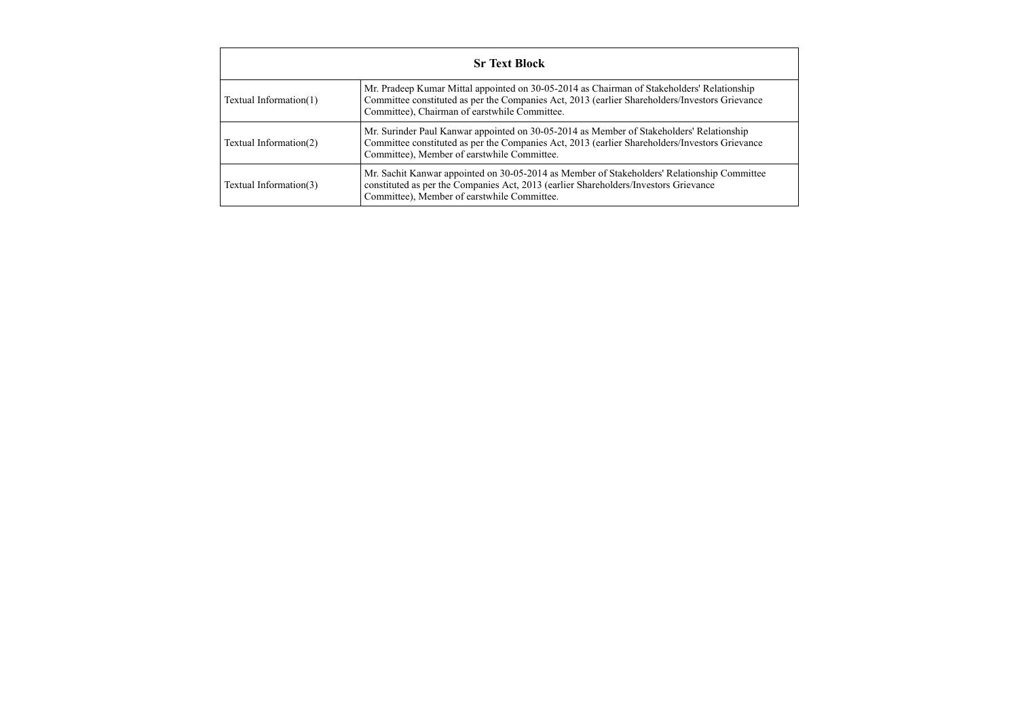|                        | <b>Sr Text Block</b>                                                                                                                                                                                                                          |  |  |  |  |  |  |
|------------------------|-----------------------------------------------------------------------------------------------------------------------------------------------------------------------------------------------------------------------------------------------|--|--|--|--|--|--|
| Textual Information(1) | Mr. Pradeep Kumar Mittal appointed on 30-05-2014 as Chairman of Stakeholders' Relationship<br>Committee constituted as per the Companies Act, 2013 (earlier Shareholders/Investors Grievance<br>Committee), Chairman of earstwhile Committee. |  |  |  |  |  |  |
| Textual Information(2) | Mr. Surinder Paul Kanwar appointed on 30-05-2014 as Member of Stakeholders' Relationship<br>Committee constituted as per the Companies Act, 2013 (earlier Shareholders/Investors Grievance<br>Committee), Member of earstwhile Committee.     |  |  |  |  |  |  |
| Textual Information(3) | Mr. Sachit Kanwar appointed on 30-05-2014 as Member of Stakeholders' Relationship Committee<br>constituted as per the Companies Act, 2013 (earlier Shareholders/Investors Grievance<br>Committee), Member of earstwhile Committee.            |  |  |  |  |  |  |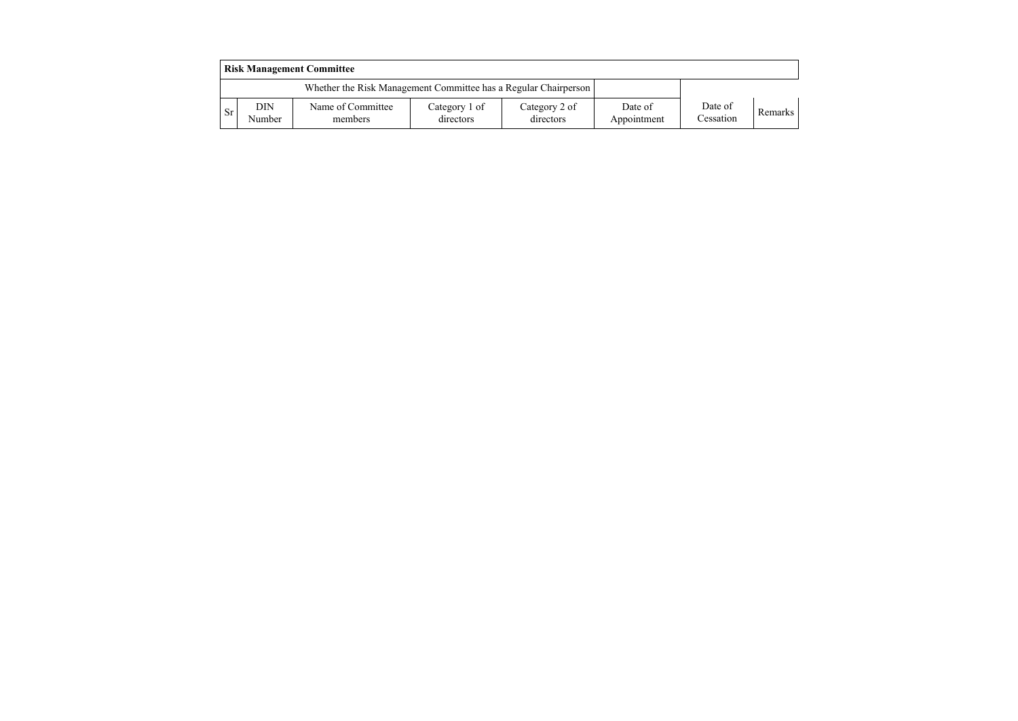|           | <b>Risk Management Committee</b>                                |                              |                            |                            |                        |                      |         |  |  |  |  |  |
|-----------|-----------------------------------------------------------------|------------------------------|----------------------------|----------------------------|------------------------|----------------------|---------|--|--|--|--|--|
|           | Whether the Risk Management Committee has a Regular Chairperson |                              |                            |                            |                        |                      |         |  |  |  |  |  |
| <b>Sr</b> | DIN<br>Number                                                   | Name of Committee<br>members | Category 1 of<br>directors | Category 2 of<br>directors | Date of<br>Appointment | Date of<br>Cessation | Remarks |  |  |  |  |  |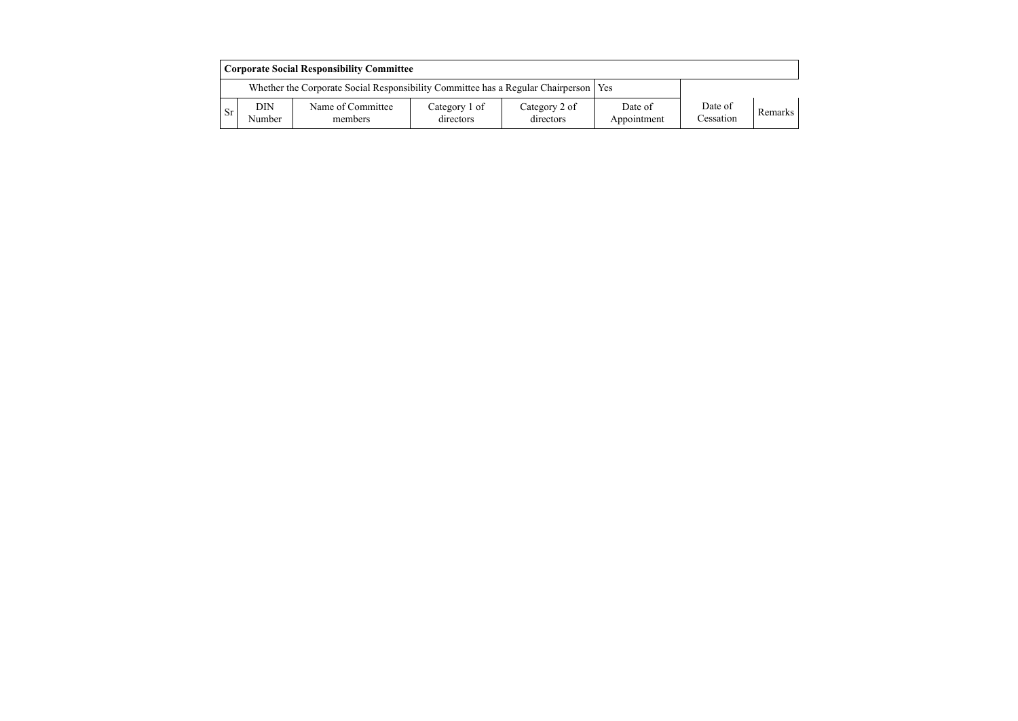|               | Corporate Social Responsibility Committee                                             |                              |                            |                            |                        |                      |                |  |  |  |  |
|---------------|---------------------------------------------------------------------------------------|------------------------------|----------------------------|----------------------------|------------------------|----------------------|----------------|--|--|--|--|
|               | Whether the Corporate Social Responsibility Committee has a Regular Chairperson   Yes |                              |                            |                            |                        |                      |                |  |  |  |  |
| <sub>Sr</sub> | DIN<br>Number                                                                         | Name of Committee<br>members | Category 1 of<br>directors | Category 2 of<br>directors | Date of<br>Appointment | Date of<br>Cessation | <b>Remarks</b> |  |  |  |  |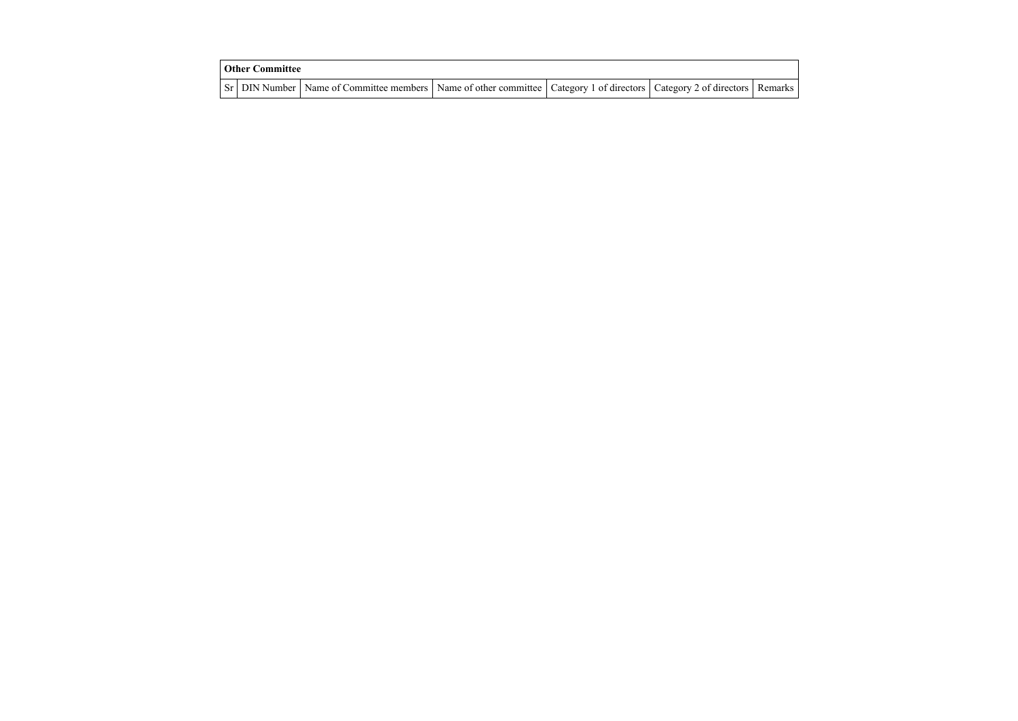| <b>Other Committee</b> |                                                                                                                                     |  |  |
|------------------------|-------------------------------------------------------------------------------------------------------------------------------------|--|--|
|                        | Sr   DIN Number   Name of Committee members   Name of other committee   Category 1 of directors   Category 2 of directors   Remarks |  |  |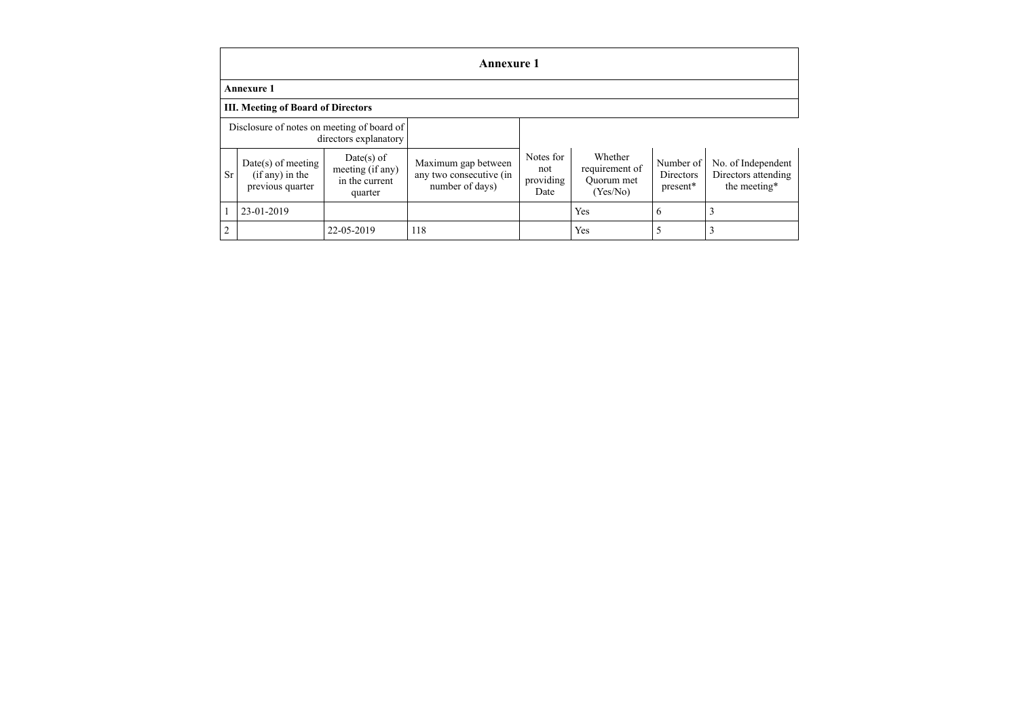|                                                                     | <b>Annexure 1</b>                                             |                                                               |                                                                   |                                       |                                                     |                                    |                                                           |
|---------------------------------------------------------------------|---------------------------------------------------------------|---------------------------------------------------------------|-------------------------------------------------------------------|---------------------------------------|-----------------------------------------------------|------------------------------------|-----------------------------------------------------------|
|                                                                     | <b>Annexure 1</b>                                             |                                                               |                                                                   |                                       |                                                     |                                    |                                                           |
|                                                                     | <b>III. Meeting of Board of Directors</b>                     |                                                               |                                                                   |                                       |                                                     |                                    |                                                           |
| Disclosure of notes on meeting of board of<br>directors explanatory |                                                               |                                                               |                                                                   |                                       |                                                     |                                    |                                                           |
| <b>Sr</b>                                                           | $Date(s)$ of meeting<br>$(if any)$ in the<br>previous quarter | $Date(s)$ of<br>meeting (if any)<br>in the current<br>quarter | Maximum gap between<br>any two consecutive (in<br>number of days) | Notes for<br>not<br>providing<br>Date | Whether<br>requirement of<br>Ouorum met<br>(Yes/No) | Number of<br>Directors<br>present* | No. of Independent<br>Directors attending<br>the meeting* |
|                                                                     | 23-01-2019                                                    |                                                               |                                                                   |                                       | Yes                                                 | 6                                  | 3                                                         |
| 2                                                                   |                                                               | 22-05-2019                                                    | 118                                                               |                                       | Yes                                                 | 5                                  | 3                                                         |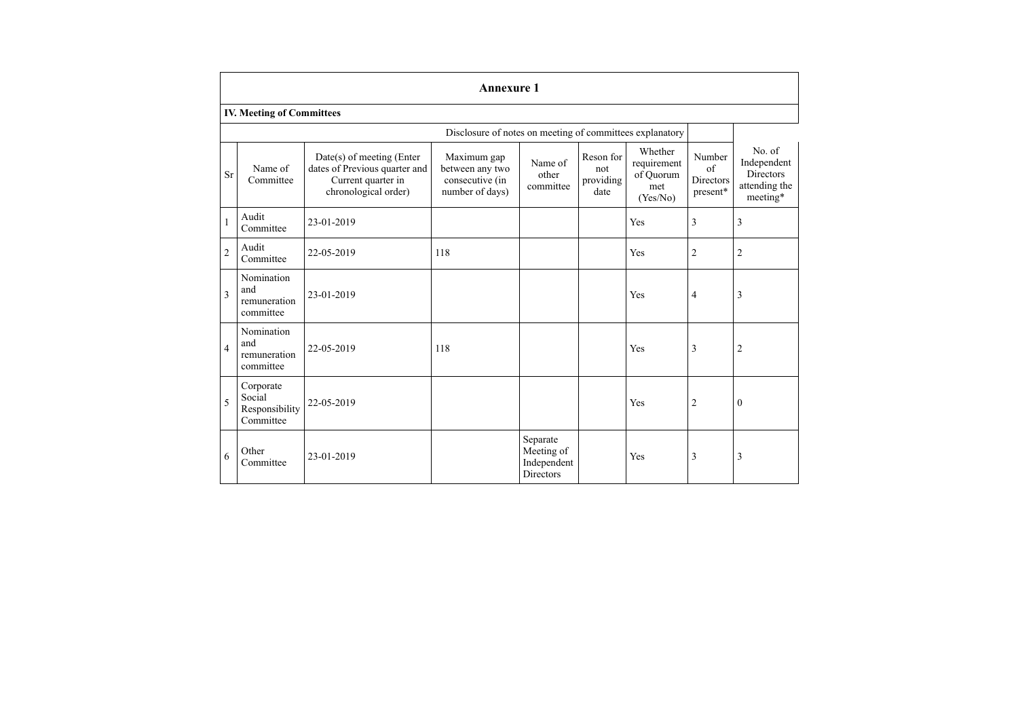|                                                          | <b>Annexure 1</b>                                  |                                                                                                            |                                                                      |                                                    |                                       |                                                        |                                              |                                                                 |
|----------------------------------------------------------|----------------------------------------------------|------------------------------------------------------------------------------------------------------------|----------------------------------------------------------------------|----------------------------------------------------|---------------------------------------|--------------------------------------------------------|----------------------------------------------|-----------------------------------------------------------------|
|                                                          | <b>IV. Meeting of Committees</b>                   |                                                                                                            |                                                                      |                                                    |                                       |                                                        |                                              |                                                                 |
| Disclosure of notes on meeting of committees explanatory |                                                    |                                                                                                            |                                                                      |                                                    |                                       |                                                        |                                              |                                                                 |
| Sr                                                       | Name of<br>Committee                               | $Date(s)$ of meeting (Enter<br>dates of Previous quarter and<br>Current quarter in<br>chronological order) | Maximum gap<br>between any two<br>consecutive (in<br>number of days) | Name of<br>other<br>committee                      | Reson for<br>not<br>providing<br>date | Whether<br>requirement<br>of Ouorum<br>met<br>(Yes/No) | Number<br>of<br><b>Directors</b><br>present* | No. of<br>Independent<br>Directors<br>attending the<br>meeting* |
| $\mathbf{1}$                                             | Audit<br>Committee                                 | 23-01-2019                                                                                                 |                                                                      |                                                    |                                       | Yes                                                    | 3                                            | 3                                                               |
| $\overline{2}$                                           | Audit<br>Committee                                 | 22-05-2019                                                                                                 | 118                                                                  |                                                    |                                       | Yes                                                    | $\overline{2}$                               | 2                                                               |
| $\overline{3}$                                           | Nomination<br>and<br>remuneration<br>committee     | 23-01-2019                                                                                                 |                                                                      |                                                    |                                       | Yes                                                    | $\overline{4}$                               | 3                                                               |
| $\overline{4}$                                           | Nomination<br>and<br>remuneration<br>committee     | 22-05-2019                                                                                                 | 118                                                                  |                                                    |                                       | Yes                                                    | 3                                            | $\overline{c}$                                                  |
| 5                                                        | Corporate<br>Social<br>Responsibility<br>Committee | 22-05-2019                                                                                                 |                                                                      |                                                    |                                       | Yes                                                    | $\overline{2}$                               | $\boldsymbol{0}$                                                |
| 6                                                        | Other<br>Committee                                 | 23-01-2019                                                                                                 |                                                                      | Separate<br>Meeting of<br>Independent<br>Directors |                                       | Yes                                                    | 3                                            | 3                                                               |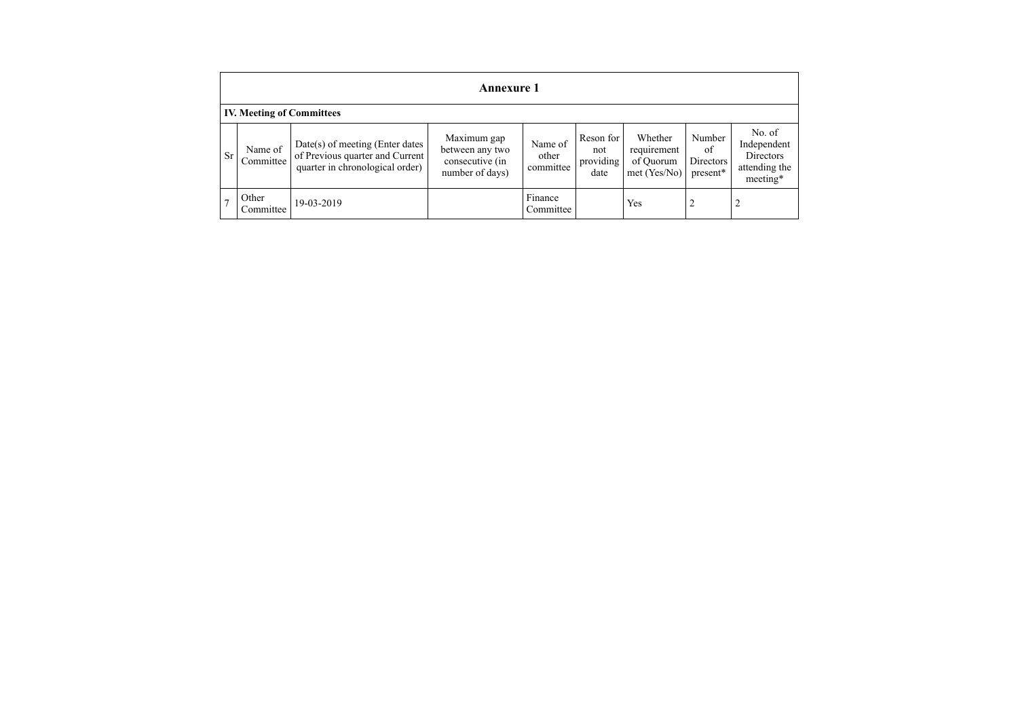|                | <b>Annexure 1</b>                |                                                                                                         |                                                                      |                               |                                       |                                                     |                                       |                                                                 |
|----------------|----------------------------------|---------------------------------------------------------------------------------------------------------|----------------------------------------------------------------------|-------------------------------|---------------------------------------|-----------------------------------------------------|---------------------------------------|-----------------------------------------------------------------|
|                | <b>IV. Meeting of Committees</b> |                                                                                                         |                                                                      |                               |                                       |                                                     |                                       |                                                                 |
| Sr             | Name of<br>Committee             | $Date(s)$ of meeting (Enter dates<br>of Previous quarter and Current<br>quarter in chronological order) | Maximum gap<br>between any two<br>consecutive (in<br>number of days) | Name of<br>other<br>committee | Reson for<br>not<br>providing<br>date | Whether<br>requirement<br>of Quorum<br>met (Yes/No) | Number<br>of<br>Directors<br>present* | No. of<br>Independent<br>Directors<br>attending the<br>meeting* |
| $\overline{7}$ | Other<br>Committee               | 19-03-2019                                                                                              |                                                                      | Finance<br>Committee          |                                       | Yes                                                 |                                       | 2                                                               |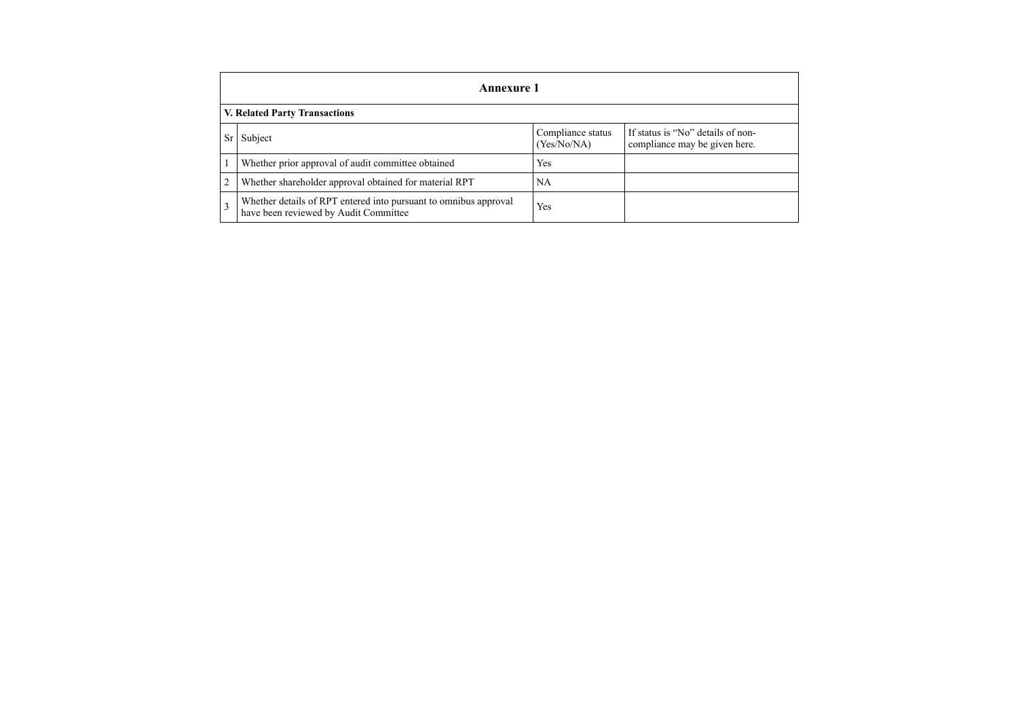|   | Annexure 1                                                                                                |                                  |                                                                    |  |  |  |
|---|-----------------------------------------------------------------------------------------------------------|----------------------------------|--------------------------------------------------------------------|--|--|--|
|   | V. Related Party Transactions                                                                             |                                  |                                                                    |  |  |  |
|   | Subject                                                                                                   | Compliance status<br>(Yes/No/NA) | If status is "No" details of non-<br>compliance may be given here. |  |  |  |
|   | Whether prior approval of audit committee obtained                                                        | Yes                              |                                                                    |  |  |  |
|   | Whether shareholder approval obtained for material RPT                                                    | <b>NA</b>                        |                                                                    |  |  |  |
| 3 | Whether details of RPT entered into pursuant to omnibus approval<br>have been reviewed by Audit Committee | Yes                              |                                                                    |  |  |  |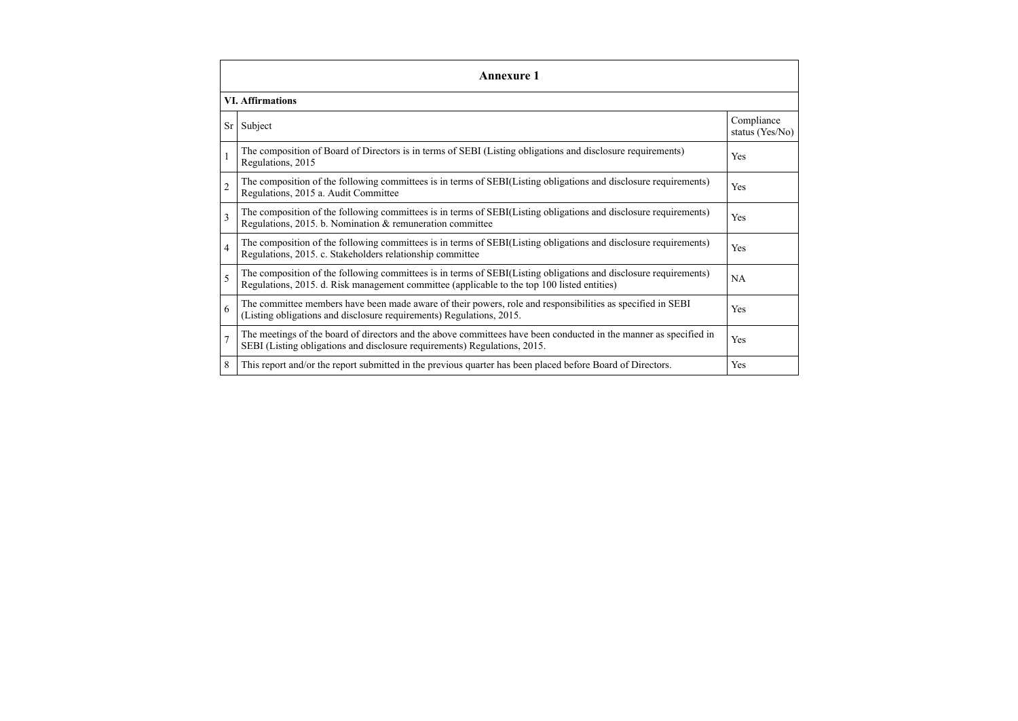|                | <b>Annexure 1</b>                                                                                                                                                                                               |                               |  |  |  |  |
|----------------|-----------------------------------------------------------------------------------------------------------------------------------------------------------------------------------------------------------------|-------------------------------|--|--|--|--|
|                | <b>VI.</b> Affirmations                                                                                                                                                                                         |                               |  |  |  |  |
| Sr             | Subject                                                                                                                                                                                                         | Compliance<br>status (Yes/No) |  |  |  |  |
| $\mathbf{1}$   | The composition of Board of Directors is in terms of SEBI (Listing obligations and disclosure requirements)<br>Regulations, 2015                                                                                | Yes                           |  |  |  |  |
| $\overline{c}$ | The composition of the following committees is in terms of SEBI(Listing obligations and disclosure requirements)<br>Regulations, 2015 a. Audit Committee                                                        | Yes                           |  |  |  |  |
| $\mathbf{3}$   | The composition of the following committees is in terms of SEBI(Listing obligations and disclosure requirements)<br>Regulations, 2015. b. Nomination & remuneration committee                                   | Yes                           |  |  |  |  |
| $\overline{4}$ | The composition of the following committees is in terms of SEBI(Listing obligations and disclosure requirements)<br>Regulations, 2015. c. Stakeholders relationship committee                                   | Yes                           |  |  |  |  |
| 5              | The composition of the following committees is in terms of SEBI(Listing obligations and disclosure requirements)<br>Regulations, 2015. d. Risk management committee (applicable to the top 100 listed entities) | NA                            |  |  |  |  |
| 6              | The committee members have been made aware of their powers, role and responsibilities as specified in SEBI<br>(Listing obligations and disclosure requirements) Regulations, 2015.                              | Yes                           |  |  |  |  |
| $\overline{7}$ | The meetings of the board of directors and the above committees have been conducted in the manner as specified in<br>SEBI (Listing obligations and disclosure requirements) Regulations, 2015.                  | Yes                           |  |  |  |  |
| 8              | This report and/or the report submitted in the previous quarter has been placed before Board of Directors.                                                                                                      | Yes                           |  |  |  |  |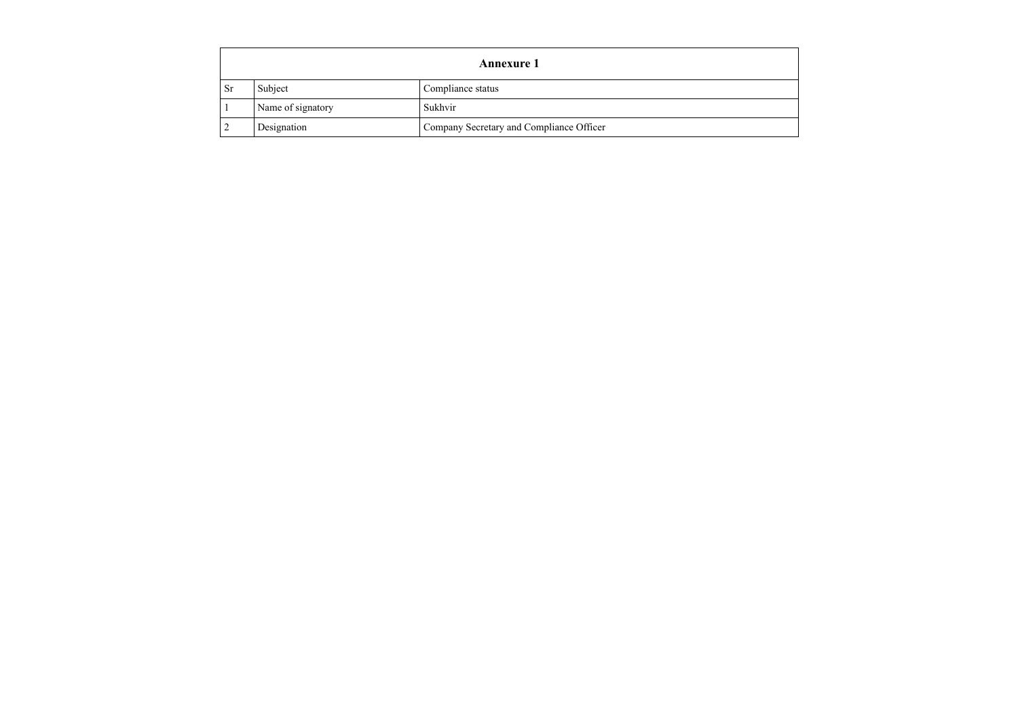|      | <b>Annexure 1</b> |                                          |  |  |
|------|-------------------|------------------------------------------|--|--|
| - Sr | Subject           | Compliance status                        |  |  |
|      | Name of signatory | Sukhvir                                  |  |  |
|      | Designation       | Company Secretary and Compliance Officer |  |  |